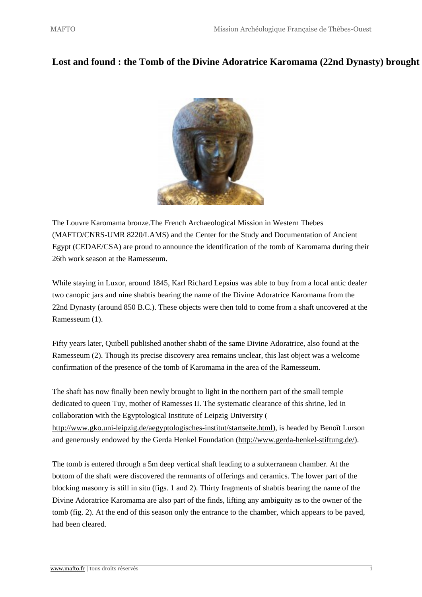## **Lost and found : the Tomb of the Divine Adoratrice Karomama (22nd Dynasty) brought to light at the Ramesseum**



The Louvre Karomama bronze.The French Archaeological Mission in Western Thebes (MAFTO/CNRS-UMR 8220/LA[MS\) and the Center for the Study a](http://www.mafto.fr/wp2_mafto/wp-content/uploads/2014/12/KaromamaLouvre1.jpg)nd Documentation of Ancient Egypt (CEDAE/CSA) are proud to announce the identification of the tomb of Karomama during their 26th work season at the Ramesseum.

While staying in Luxor, around 1845, Karl Richard Lepsius was able to buy from a local antic dealer two canopic jars and nine shabtis bearing the name of the Divine Adoratrice Karomama from the 22nd Dynasty (around 850 B.C.). These objects were then told to come from a shaft uncovered at the Ramesseum (1).

Fifty years later, Quibell published another shabti of the same Divine Adoratrice, also found at the Ramesseum (2). Though its precise discovery area remains unclear, this last object was a welcome confirmation of the presence of the tomb of Karomama in the area of the Ramesseum.

The shaft has now finally been newly brought to light in the northern part of the small temple dedicated to queen Tuy, mother of Ramesses II. The systematic clearance of this shrine, led in collaboration with the Egyptological Institute of Leipzig University ( http://www.gko.uni-leipzig.de/aegyptologisches-institut/startseite.html), is headed by Benoît Lurson and generously endowed by the Gerda Henkel Foundation (http://www.gerda-henkel-stiftung.de/).

[The tomb is entered through a 5m deep vertical shaft leading to a subte](http://www.gko.uni-leipzig.de/aegyptologisches-institut/startseite.html)rranean chamber. At the bottom of the shaft were discovered the remnants of offerin[gs and ceramics. The lower part of the](http://www.gerda-henkel-stiftung.de/) blocking masonry is still in situ (figs. 1 and 2). Thirty fragments of shabtis bearing the name of the Divine Adoratrice Karomama are also part of the finds, lifting any ambiguity as to the owner of the tomb (fig. 2). At the end of this season only the entrance to the chamber, which appears to be paved, had been cleared.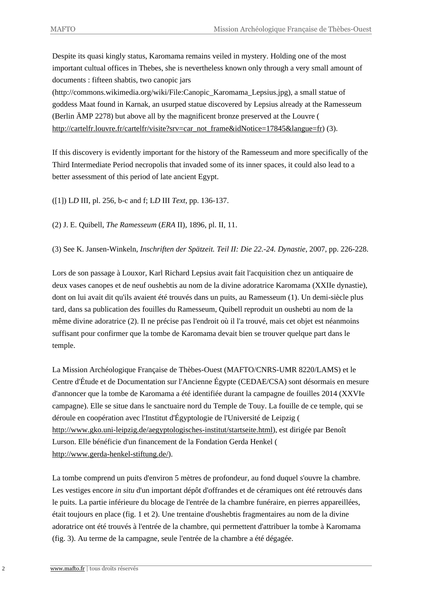Despite its quasi kingly status, Karomama remains veiled in mystery. Holding one of the most important cultual offices in Thebes, she is nevertheless known only through a very small amount of documents : fifteen shabtis, two canopic jars

(http://commons.wikimedia.org/wiki/File:Canopic\_Karomama\_Lepsius.jpg), a small statue of goddess Maat found in Karnak, an usurped statue discovered by Lepsius already at the Ramesseum (Berlin ÄMP 2278) but above all by the magnificent bronze preserved at the Louvre ( http://cartelfr.louvre.fr/cartelfr/visite?srv=car\_not\_frame&idNotice=17845&langue=fr) (3).

If this discovery is evidently important for the history of the Ramesseum and more specifically of the [Third Intermediate Period necropolis that invaded some of its inner spaces, it could also](http://cartelfr.louvre.fr/cartelfr/visite?srv=car_not_frame&idNotice=17845&langue=fr) lead to a better assessment of this period of late ancient Egypt.

([1]) L*D* III, pl. 256, b-c and f; L*D* III *Text*, pp. 136-137.

(2) J. E. Quibell, *The Ramesseum* (*ERA* II), 1896, pl. II, 11.

(3) See K. Jansen-Winkeln, *Inschriften der Spätzeit. Teil II: Die 22.-24. Dynastie*, 2007, pp. 226-228.

Lors de son passage à Louxor, Karl Richard Lepsius avait fait l'acquisition chez un antiquaire de deux vases canopes et de neuf oushebtis au nom de la divine adoratrice Karomama (XXIIe dynastie), dont on lui avait dit qu'ils avaient été trouvés dans un puits, au Ramesseum (1). Un demi-siècle plus tard, dans sa publication des fouilles du Ramesseum, Quibell reproduit un oushebti au nom de la même divine adoratrice (2). Il ne précise pas l'endroit où il l'a trouvé, mais cet objet est néanmoins suffisant pour confirmer que la tombe de Karomama devait bien se trouver quelque part dans le temple.

La Mission Archéologique Française de Thèbes-Ouest (MAFTO/CNRS-UMR 8220/LAMS) et le Centre d'Étude et de Documentation sur l'Ancienne Égypte (CEDAE/CSA) sont désormais en mesure d'annoncer que la tombe de Karomama a été identifiée durant la campagne de fouilles 2014 (XXVIe campagne). Elle se situe dans le sanctuaire nord du Temple de Touy. La fouille de ce temple, qui se déroule en coopération avec l'Institut d'Égyptologie de l'Université de Leipzig ( http://www.gko.uni-leipzig.de/aegyptologisches-institut/startseite.html), est dirigée par Benoît Lurson. Elle bénéficie d'un financement de la Fondation Gerda Henkel ( http://www.gerda-henkel-stiftung.de/).

La tombe comprend un puits d'environ 5 mètres de profondeur, au fond duquel s'ouvre la chambre. [Les vestiges encore](http://www.gerda-henkel-stiftung.de/) *in situ* d'un important dépôt d'offrandes et de céramiques ont été retrouvés dans le puits. La partie inférieure du blocage de l'entrée de la chambre funéraire, en pierres appareillées, était toujours en place (fig. 1 et 2). Une trentaine d'oushebtis fragmentaires au nom de la divine adoratrice ont été trouvés à l'entrée de la chambre, qui permettent d'attribuer la tombe à Karomama (fig. 3). Au terme de la campagne, seule l'entrée de la chambre a été dégagée.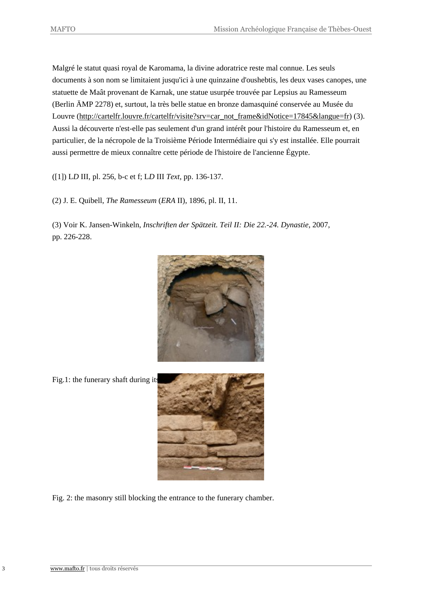Malgré le statut quasi royal de Karomama, la divine adoratrice reste mal connue. Les seuls documents à son nom se limitaient jusqu'ici à une quinzaine d'oushebtis, les deux vases canopes, une statuette de Maât provenant de Karnak, une statue usurpée trouvée par Lepsius au Ramesseum (Berlin ÄMP 2278) et, surtout, la très belle statue en bronze damasquiné conservée au Musée du Louvre (http://cartelfr.louvre.fr/cartelfr/visite?srv=car\_not\_frame&idNotice=17845&langue=fr) (3). Aussi la découverte n'est-elle pas seulement d'un grand intérêt pour l'histoire du Ramesseum et, en particulier, de la nécropole de la Troisième Période Intermédiaire qui s'y est installée. Elle pourrait aussi pe[rmettre de mieux connaître cette période de l'histoire de l'ancienne Égypte.](http://cartelfr.louvre.fr/cartelfr/visite?srv=car_not_frame&idNotice=17845&langue=fr)

([1]) L*D* III, pl. 256, b-c et f; L*D* III *Text*, pp. 136-137.

(2) J. E. Quibell, *The Ramesseum* (*ERA* II), 1896, pl. II, 11.

(3) Voir K. Jansen-Winkeln, *Inschriften der Spätzeit. Teil II: Die 22.-24. Dynastie*, 2007, pp. 226-228.



Fig.1: the funerary shaft during its



Fig. 2: the masonry still blocking [the entrance to the funerary chamb](http://www.mafto.fr/wp2_mafto/wp-content/uploads/2014/12/Figure-1bis.jpg)er.